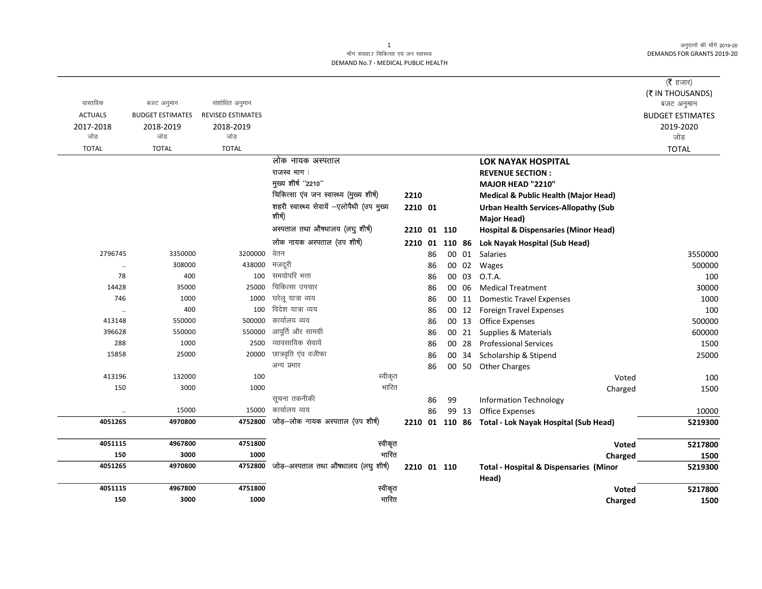## माँग संख्या.7 चिकित्सा एवं जन स्वास्थ्य DEMAND No.7 - MEDICAL PUBLIC HEALTH

|                  |                         |                          |                                           |                |    |        |       |                                                   | $($ रै हजार)            |
|------------------|-------------------------|--------------------------|-------------------------------------------|----------------|----|--------|-------|---------------------------------------------------|-------------------------|
|                  |                         |                          |                                           |                |    |        |       |                                                   | (₹ IN THOUSANDS)        |
| वास्तविक         | बजट अनुमान              | संशोधित अनुमान           |                                           |                |    |        |       |                                                   | बजट अनुमान              |
| <b>ACTUALS</b>   | <b>BUDGET ESTIMATES</b> | <b>REVISED ESTIMATES</b> |                                           |                |    |        |       |                                                   | <b>BUDGET ESTIMATES</b> |
| 2017-2018<br>जोड | 2018-2019<br>जोड        | 2018-2019<br>जोड         |                                           |                |    |        |       |                                                   | 2019-2020<br>जोड        |
| <b>TOTAL</b>     | <b>TOTAL</b>            | <b>TOTAL</b>             |                                           |                |    |        |       |                                                   | <b>TOTAL</b>            |
|                  |                         |                          | लोक नायक अस्पताल                          |                |    |        |       | <b>LOK NAYAK HOSPITAL</b>                         |                         |
|                  |                         |                          | राजस्व भाग:                               |                |    |        |       | <b>REVENUE SECTION:</b>                           |                         |
|                  |                         |                          | मुख्य शीर्ष "2210"                        |                |    |        |       | MAJOR HEAD "2210"                                 |                         |
|                  |                         |                          | चिकित्सा एंव जन स्वास्थ्य (मुख्य शीर्ष)   | 2210           |    |        |       | <b>Medical &amp; Public Health (Major Head)</b>   |                         |
|                  |                         |                          | शहरी स्वास्थ्य सेवायें -एलोपैथी (उप मुख्य | 2210 01        |    |        |       | <b>Urban Health Services-Allopathy (Sub</b>       |                         |
|                  |                         |                          | शीर्ष)                                    |                |    |        |       | <b>Major Head)</b>                                |                         |
|                  |                         |                          | अस्पताल तथा औषधालय (लघु शीर्ष)            | 2210           |    | 01 110 |       | <b>Hospital &amp; Dispensaries (Minor Head)</b>   |                         |
|                  |                         |                          | लोक नायक अस्पताल (उप शीर्ष)               | 2210 01 110 86 |    |        |       | Lok Nayak Hospital (Sub Head)                     |                         |
| 2796745          | 3350000                 | 3200000                  | वेतन                                      |                | 86 | 00     | 01    | Salaries                                          | 3550000                 |
| $\ddotsc$        | 308000                  | 438000                   | मजदूरी                                    |                | 86 |        | 00 02 | Wages                                             | 500000                  |
| 78               | 400                     | 100                      | समयोपरि भत्ता                             |                | 86 | 00     | 03    | O.T.A.                                            | 100                     |
| 14428            | 35000                   | 25000                    | चिकित्सा उपचार                            |                | 86 |        | 00 06 | <b>Medical Treatment</b>                          | 30000                   |
| 746              | 1000                    | 1000                     | घरेलू यात्रा व्यय                         |                | 86 |        | 00 11 | <b>Domestic Travel Expenses</b>                   | 1000                    |
| $\ddotsc$        | 400                     | 100                      | विदेश यात्रा व्यय                         |                | 86 |        | 00 12 | Foreign Travel Expenses                           | 100                     |
| 413148           | 550000                  | 500000                   | कार्यालय व्यय                             |                | 86 |        | 00 13 | <b>Office Expenses</b>                            | 500000                  |
| 396628           | 550000                  | 550000                   | आपूर्ति और सामग्री                        |                | 86 |        | 00 21 | Supplies & Materials                              | 600000                  |
| 288              | 1000                    | 2500                     | व्यावसायिक सेवायें                        |                | 86 |        | 00 28 | <b>Professional Services</b>                      | 1500                    |
| 15858            | 25000                   | 20000                    | छात्रवृति एंव वजीफा                       |                | 86 |        | 00 34 | Scholarship & Stipend                             | 25000                   |
|                  |                         |                          | अन्य प्रभार                               |                | 86 |        | 00 50 | <b>Other Charges</b>                              |                         |
| 413196           | 132000                  | 100                      | स्वीकृत                                   |                |    |        |       | Voted                                             | 100                     |
| 150              | 3000                    | 1000                     | भारित                                     |                |    |        |       | Charged                                           | 1500                    |
|                  |                         |                          | सूचना तकनीकी                              |                | 86 | 99     |       | <b>Information Technology</b>                     |                         |
|                  | 15000                   | 15000                    | कार्यालय व्यय                             |                | 86 |        | 99 13 | <b>Office Expenses</b>                            | 10000                   |
| 4051265          | 4970800                 | 4752800                  | जोड़–लोक नायक अस्पताल (उप शीर्ष)          | 2210 01 110 86 |    |        |       | Total - Lok Nayak Hospital (Sub Head)             | 5219300                 |
| 4051115          | 4967800                 | 4751800                  | स्वीकृत                                   |                |    |        |       | Voted                                             | 5217800                 |
| 150              | 3000                    | 1000                     | भारित                                     |                |    |        |       | Charged                                           | 1500                    |
| 4051265          | 4970800                 | 4752800                  | जोड़-अस्पताल तथा औषधालय (लघु शीर्ष)       | 2210 01 110    |    |        |       | <b>Total - Hospital &amp; Dispensaries (Minor</b> | 5219300                 |
|                  |                         |                          |                                           |                |    |        |       | Head)                                             |                         |
| 4051115          | 4967800                 | 4751800                  | स्वीकृत                                   |                |    |        |       | Voted                                             | 5217800                 |
| 150              | 3000                    | 1000                     | भारित                                     |                |    |        |       | Charged                                           | 1500                    |

 $\mathbf{1}$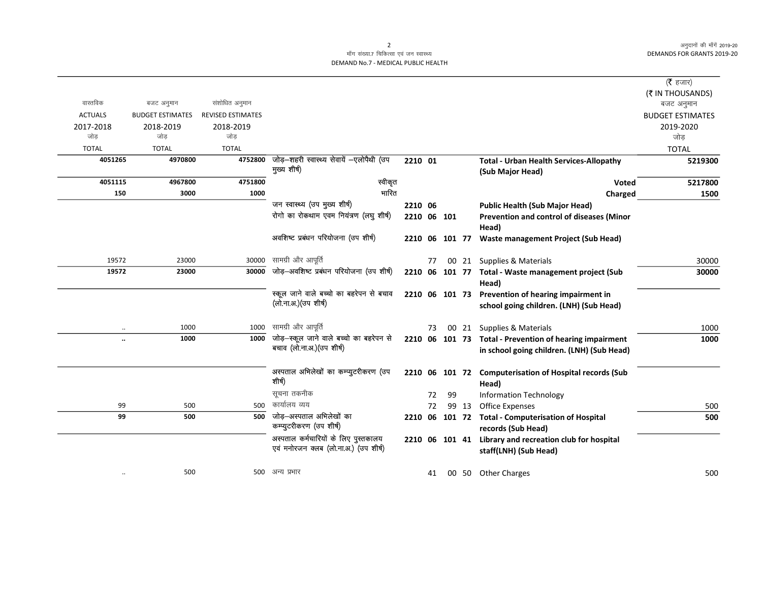$\overline{\phantom{0}}$ 

## माँग संख्या.7 चिकित्सा एवं जन स्वास्थ्य DEMAND No.7 - MEDICAL PUBLIC HEALTH

|                      |                         |                          |                                                                               |             |    |                |       |                                                                                               | ( $\bar{\tau}$ हजार)    |
|----------------------|-------------------------|--------------------------|-------------------------------------------------------------------------------|-------------|----|----------------|-------|-----------------------------------------------------------------------------------------------|-------------------------|
|                      |                         |                          |                                                                               |             |    |                |       |                                                                                               | (₹ IN THOUSANDS)        |
| वास्तविक             | बजट अनुमान              | संशोधित अनुमान           |                                                                               |             |    |                |       |                                                                                               | बजट अनुमान              |
| <b>ACTUALS</b>       | <b>BUDGET ESTIMATES</b> | <b>REVISED ESTIMATES</b> |                                                                               |             |    |                |       |                                                                                               | <b>BUDGET ESTIMATES</b> |
| 2017-2018            | 2018-2019               | 2018-2019                |                                                                               |             |    |                |       |                                                                                               | 2019-2020               |
| जोड                  | जोड                     | जोड                      |                                                                               |             |    |                |       |                                                                                               | जोड़                    |
| <b>TOTAL</b>         | <b>TOTAL</b>            | <b>TOTAL</b>             |                                                                               |             |    |                |       |                                                                                               | <b>TOTAL</b>            |
| 4051265              | 4970800                 | 4752800                  | जोड़-शहरी स्वास्थ्य सेवायें -एलोपैथी (उप<br>मुख्य शीर्ष)                      | 2210 01     |    |                |       | <b>Total - Urban Health Services-Allopathy</b><br>(Sub Major Head)                            | 5219300                 |
| 4051115              | 4967800                 | 4751800                  | स्वीकृत                                                                       |             |    |                |       | Voted                                                                                         | 5217800                 |
| 150                  | 3000                    | 1000                     | भारित                                                                         |             |    |                |       | Charged                                                                                       | 1500                    |
|                      |                         |                          | जन स्वास्थ्य (उप मुख्य शीर्ष)                                                 | 2210 06     |    |                |       | <b>Public Health (Sub Major Head)</b>                                                         |                         |
|                      |                         |                          | रोगो का रोकथाम एवम नियंत्रण (लघु शीर्ष)                                       | 2210 06 101 |    |                |       | Prevention and control of diseases (Minor                                                     |                         |
|                      |                         |                          |                                                                               |             |    |                |       | Head)                                                                                         |                         |
|                      |                         |                          | अवशिष्ट प्रबंधन परियोजना (उप शीर्ष)                                           |             |    | 2210 06 101 77 |       | <b>Waste management Project (Sub Head)</b>                                                    |                         |
| 19572                | 23000                   | 30000                    | सामग्री और आपूर्ति                                                            |             | 77 |                |       | 00 21 Supplies & Materials                                                                    | 30000                   |
| 19572                | 23000                   | 30000                    | जोड़-अवशिष्ट प्रबंधन परियोजना (उप शीर्ष)                                      | 2210 06     |    |                |       | 101 77 Total - Waste management project (Sub<br>Head)                                         | 30000                   |
|                      |                         |                          | स्कूल जाने वाले बच्चो का बहरेपन से बचाव<br>(लो.ना.अ.)(उप शीर्ष)               |             |    |                |       | 2210 06 101 73 Prevention of hearing impairment in<br>school going children. (LNH) (Sub Head) |                         |
| $\ddot{\phantom{0}}$ | 1000                    | 1000                     | सामग्री और आपूर्ति                                                            |             | 73 |                |       | 00 21 Supplies & Materials                                                                    | 1000                    |
| $\ddot{\phantom{a}}$ | 1000                    | 1000                     | जोड़-स्कूल जाने वाले बच्चो का बहरेपन से                                       |             |    |                |       | 2210 06 101 73 Total - Prevention of hearing impairment                                       | 1000                    |
|                      |                         |                          | बचाव (लो.ना.अ.) (उप शीर्ष)                                                    |             |    |                |       | in school going children. (LNH) (Sub Head)                                                    |                         |
|                      |                         |                          | अस्पताल अभिलेखों का कम्प्युटरीकरण (उप<br>शीर्ष)                               |             |    | 2210 06 101 72 |       | <b>Computerisation of Hospital records (Sub</b><br>Head)                                      |                         |
|                      |                         |                          | सूचना तकनीक                                                                   |             | 72 | 99             |       | <b>Information Technology</b>                                                                 |                         |
| 99                   | 500                     | 500                      | कार्यालय व्यय                                                                 |             | 72 |                | 99 13 | <b>Office Expenses</b>                                                                        | 500                     |
| 99                   | 500                     | 500                      | जोड़-अस्पताल अभिलेखों का<br>कम्प्युटरीकरण (उप शीर्ष)                          | 2210 06     |    |                |       | 101 72 Total - Computerisation of Hospital<br>records (Sub Head)                              | 500                     |
|                      |                         |                          | अस्पताल कर्मचारियों के लिए पुस्तकालय<br>एवं मनोरजन क्लब (लो.ना.अ.) (उप शीर्ष) |             |    | 2210 06 101 41 |       | Library and recreation club for hospital<br>staff(LNH) (Sub Head)                             |                         |
|                      | 500                     | 500                      | अन्य प्रभार                                                                   |             | 41 |                |       | 00 50 Other Charges                                                                           | 500                     |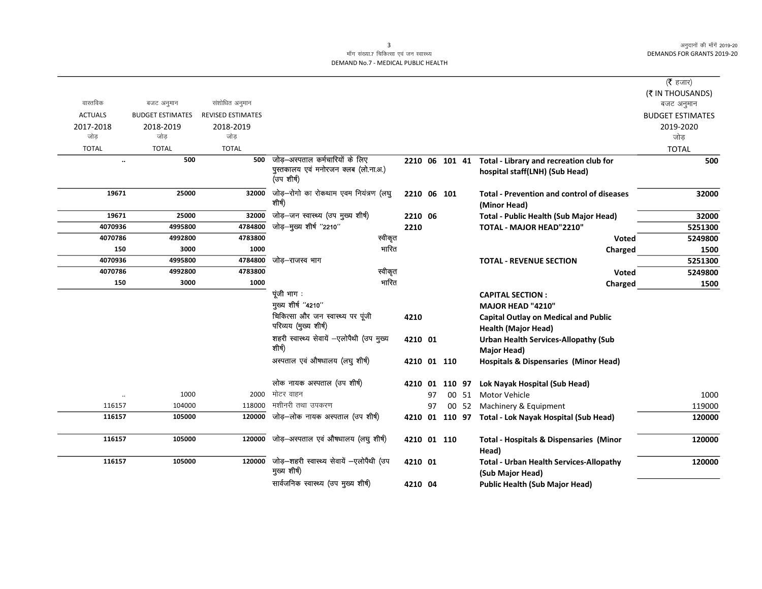$\overline{\phantom{0}}$ 

## माँग संख्या.7 चिकित्सा एवं जन स्वास्थ्य DEMAND No.7 - MEDICAL PUBLIC HEALTH

|                      |                         |                          |                                                          |             |    |                |       |                                                                    | ( $\bar{\tau}$ हजार)    |
|----------------------|-------------------------|--------------------------|----------------------------------------------------------|-------------|----|----------------|-------|--------------------------------------------------------------------|-------------------------|
|                      |                         |                          |                                                          |             |    |                |       |                                                                    | (₹ IN THOUSANDS)        |
| वास्तविक             | बजट अनुमान              | संशोधित अनुमान           |                                                          |             |    |                |       |                                                                    | बजट अनुमान              |
| <b>ACTUALS</b>       | <b>BUDGET ESTIMATES</b> | <b>REVISED ESTIMATES</b> |                                                          |             |    |                |       |                                                                    | <b>BUDGET ESTIMATES</b> |
| 2017-2018            | 2018-2019               | 2018-2019                |                                                          |             |    |                |       |                                                                    | 2019-2020               |
| जोड                  | जोड                     | जोड                      |                                                          |             |    |                |       |                                                                    | जोड                     |
| <b>TOTAL</b>         | <b>TOTAL</b>            | <b>TOTAL</b>             |                                                          |             |    |                |       |                                                                    | <b>TOTAL</b>            |
| $\ldots$             | 500                     |                          | 500 जोड़-अस्पताल कर्मचारियों के लिए                      |             |    | 2210 06 101 41 |       | Total - Library and recreation club for                            | 500                     |
|                      |                         |                          | पुस्तकालय एवं मनोरजन क्लब (लो.ना.अ.)<br>(उपशीर्ष)        |             |    |                |       | hospital staff(LNH) (Sub Head)                                     |                         |
| 19671                | 25000                   | 32000                    | जोड़-रोगो का रोकथाम एवम नियंत्रण (लघु                    | 2210 06 101 |    |                |       | <b>Total - Prevention and control of diseases</b>                  | 32000                   |
|                      |                         |                          | शीर्ष)                                                   |             |    |                |       | (Minor Head)                                                       |                         |
| 19671                | 25000                   | 32000                    | जोड़-जन स्वास्थ्य (उप मुख्य शीर्ष)                       | 2210 06     |    |                |       | Total - Public Health (Sub Major Head)                             | 32000                   |
| 4070936              | 4995800                 | 4784800                  | जोड़-मुख्य शीर्ष "2210"                                  | 2210        |    |                |       | TOTAL - MAJOR HEAD"2210"                                           | 5251300                 |
| 4070786              | 4992800                 | 4783800                  | स्वीकृत                                                  |             |    |                |       | <b>Voted</b>                                                       | 5249800                 |
| 150                  | 3000                    | 1000                     | भारित                                                    |             |    |                |       | Charged                                                            | 1500                    |
| 4070936              | 4995800                 | 4784800                  | जोड–राजस्व भाग                                           |             |    |                |       | <b>TOTAL - REVENUE SECTION</b>                                     | 5251300                 |
| 4070786              | 4992800                 | 4783800                  | स्वीकृत                                                  |             |    |                |       | <b>Voted</b>                                                       | 5249800                 |
| 150                  | 3000                    | 1000                     | भारित                                                    |             |    |                |       | Charged                                                            | 1500                    |
|                      |                         |                          | पूंजी भाग :                                              |             |    |                |       | <b>CAPITAL SECTION:</b>                                            |                         |
|                      |                         |                          | मुख्य शीर्ष "4210"                                       |             |    |                |       | MAJOR HEAD "4210"                                                  |                         |
|                      |                         |                          | चिकित्सा और जन स्वास्थ्य पर पूंजी                        | 4210        |    |                |       | <b>Capital Outlay on Medical and Public</b>                        |                         |
|                      |                         |                          | परिव्यय (मुख्य शीर्ष)                                    |             |    |                |       | <b>Health (Major Head)</b>                                         |                         |
|                      |                         |                          | शहरी स्वास्थ्य सेवायें -एलोपैथी (उप मुख्य                | 4210 01     |    |                |       | <b>Urban Health Services-Allopathy (Sub</b>                        |                         |
|                      |                         |                          | शीर्ष)                                                   |             |    |                |       | <b>Major Head)</b>                                                 |                         |
|                      |                         |                          | अस्पताल एवं औषधालय (लघु शीर्ष)                           | 4210 01 110 |    |                |       | <b>Hospitals &amp; Dispensaries (Minor Head)</b>                   |                         |
|                      |                         |                          | लोक नायक अस्पताल (उप शीर्ष)                              |             |    | 4210 01 110 97 |       | Lok Nayak Hospital (Sub Head)                                      |                         |
| $\ddot{\phantom{a}}$ | 1000                    | 2000                     | मोटर वाहन                                                |             | 97 |                | 00 51 | Motor Vehicle                                                      | 1000                    |
| 116157               | 104000                  | 118000                   | मशीनरी तथा उपकरण                                         |             | 97 |                |       | 00 52 Machinery & Equipment                                        | 119000                  |
| 116157               | 105000                  | 120000                   | जोड़–लोक नायक अस्पताल (उप शीर्ष)                         |             |    |                |       | 4210 01 110 97 Total - Lok Nayak Hospital (Sub Head)               | 120000                  |
| 116157               | 105000                  | 120000                   | जोड़-अस्पताल एवं औषधालय (लघु शीर्ष)                      | 4210 01 110 |    |                |       | <b>Total - Hospitals &amp; Dispensaries (Minor</b><br>Head)        | 120000                  |
| 116157               | 105000                  | 120000                   | जोड़-शहरी स्वास्थ्य सेवायें -एलोपैथी (उप<br>मुख्य शीर्ष) | 4210 01     |    |                |       | <b>Total - Urban Health Services-Allopathy</b><br>(Sub Major Head) | 120000                  |
|                      |                         |                          | सार्वजनिक स्वास्थ्य (उप मुख्य शीर्ष)                     | 4210 04     |    |                |       | <b>Public Health (Sub Major Head)</b>                              |                         |

 $\overline{\mathbf{3}}$